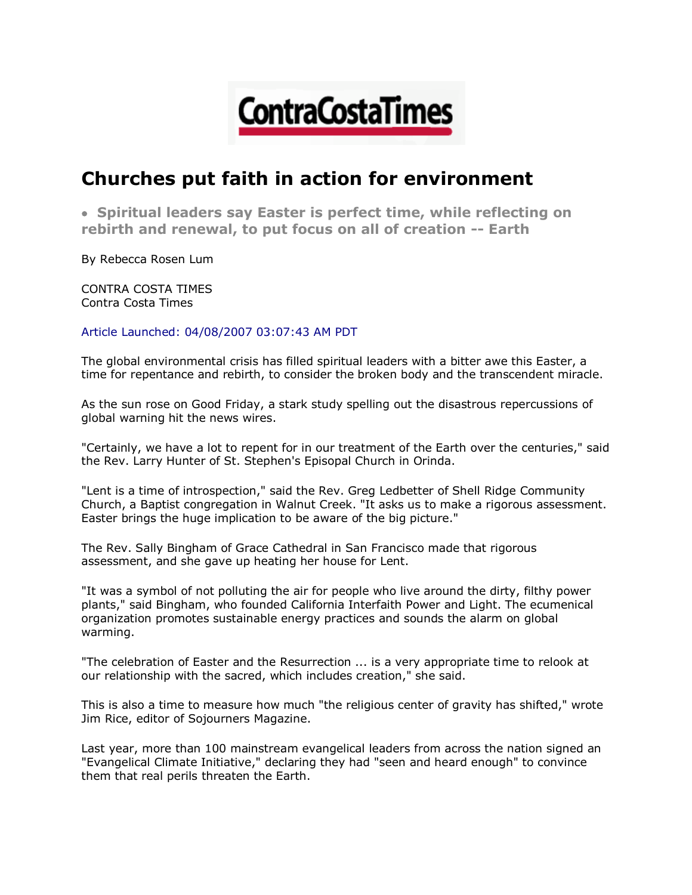

## **Churches put faith in action for environment**

 **Spiritual leaders say Easter is perfect time, while reflecting on rebirth and renewal, to put focus on all of creation -- Earth**

By Rebecca Rosen Lum

CONTRA COSTA TIMES Contra Costa Times

Article Launched: 04/08/2007 03:07:43 AM PDT

The global environmental crisis has filled spiritual leaders with a bitter awe this Easter, a time for repentance and rebirth, to consider the broken body and the transcendent miracle.

As the sun rose on Good Friday, a stark study spelling out the disastrous repercussions of global warning hit the news wires.

"Certainly, we have a lot to repent for in our treatment of the Earth over the centuries," said the Rev. Larry Hunter of St. Stephen's Episopal Church in Orinda.

"Lent is a time of introspection," said the Rev. Greg Ledbetter of Shell Ridge Community Church, a Baptist congregation in Walnut Creek. "It asks us to make a rigorous assessment. Easter brings the huge implication to be aware of the big picture."

The Rev. Sally Bingham of Grace Cathedral in San Francisco made that rigorous assessment, and she gave up heating her house for Lent.

"It was a symbol of not polluting the air for people who live around the dirty, filthy power plants," said Bingham, who founded California Interfaith Power and Light. The ecumenical organization promotes sustainable energy practices and sounds the alarm on global warming.

"The celebration of Easter and the Resurrection ... is a very appropriate time to relook at our relationship with the sacred, which includes creation," she said.

This is also a time to measure how much "the religious center of gravity has shifted," wrote Jim Rice, editor of Sojourners Magazine.

Last year, more than 100 mainstream evangelical leaders from across the nation signed an "Evangelical Climate Initiative," declaring they had "seen and heard enough" to convince them that real perils threaten the Earth.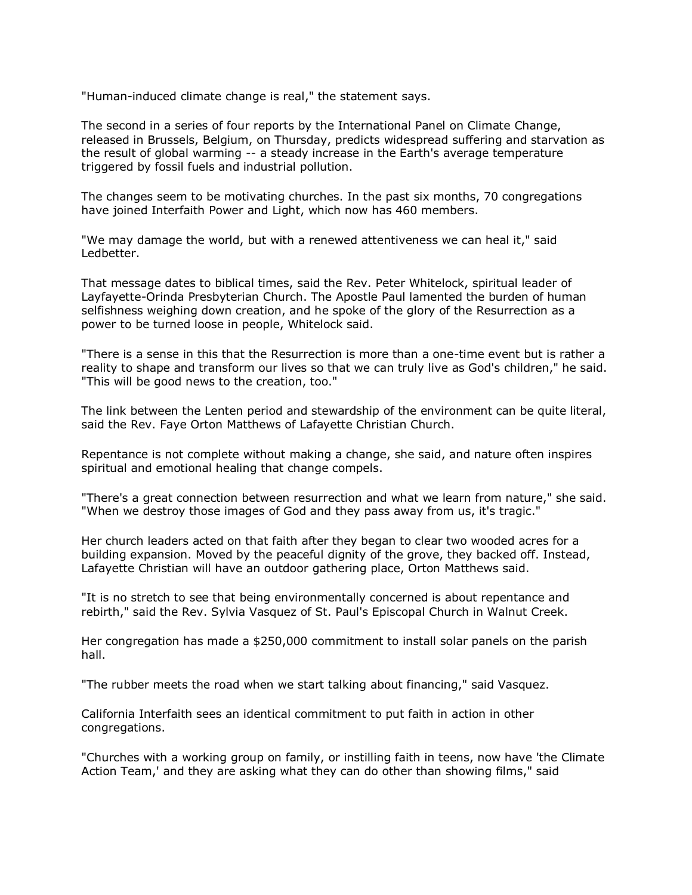"Human-induced climate change is real," the statement says.

The second in a series of four reports by the International Panel on Climate Change, released in Brussels, Belgium, on Thursday, predicts widespread suffering and starvation as the result of global warming -- a steady increase in the Earth's average temperature triggered by fossil fuels and industrial pollution.

The changes seem to be motivating churches. In the past six months, 70 congregations have joined Interfaith Power and Light, which now has 460 members.

"We may damage the world, but with a renewed attentiveness we can heal it," said Ledbetter.

That message dates to biblical times, said the Rev. Peter Whitelock, spiritual leader of Layfayette-Orinda Presbyterian Church. The Apostle Paul lamented the burden of human selfishness weighing down creation, and he spoke of the glory of the Resurrection as a power to be turned loose in people, Whitelock said.

"There is a sense in this that the Resurrection is more than a one-time event but is rather a reality to shape and transform our lives so that we can truly live as God's children," he said. "This will be good news to the creation, too."

The link between the Lenten period and stewardship of the environment can be quite literal, said the Rev. Faye Orton Matthews of Lafayette Christian Church.

Repentance is not complete without making a change, she said, and nature often inspires spiritual and emotional healing that change compels.

"There's a great connection between resurrection and what we learn from nature," she said. "When we destroy those images of God and they pass away from us, it's tragic."

Her church leaders acted on that faith after they began to clear two wooded acres for a building expansion. Moved by the peaceful dignity of the grove, they backed off. Instead, Lafayette Christian will have an outdoor gathering place, Orton Matthews said.

"It is no stretch to see that being environmentally concerned is about repentance and rebirth," said the Rev. Sylvia Vasquez of St. Paul's Episcopal Church in Walnut Creek.

Her congregation has made a \$250,000 commitment to install solar panels on the parish hall.

"The rubber meets the road when we start talking about financing," said Vasquez.

California Interfaith sees an identical commitment to put faith in action in other congregations.

"Churches with a working group on family, or instilling faith in teens, now have 'the Climate Action Team,' and they are asking what they can do other than showing films," said